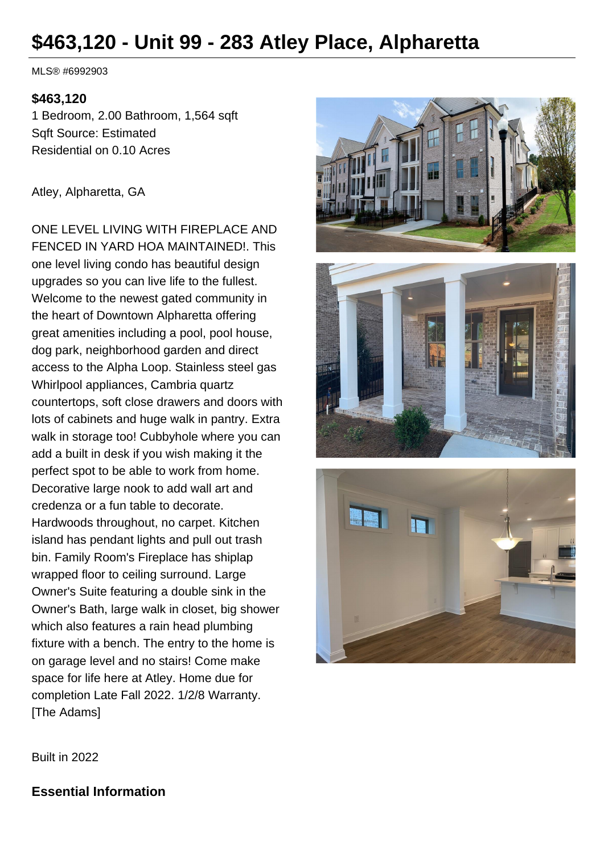# **\$463,120 - Unit 99 - 283 Atley Place, Alpharetta**

MLS® #6992903

#### **\$463,120**

1 Bedroom, 2.00 Bathroom, 1,564 sqft Sqft Source: Estimated Residential on 0.10 Acres

#### Atley, Alpharetta, GA

ONE LEVEL LIVING WITH FIREPLACE AND FENCED IN YARD HOA MAINTAINED!. This one level living condo has beautiful design upgrades so you can live life to the fullest. Welcome to the newest gated community in the heart of Downtown Alpharetta offering great amenities including a pool, pool house, dog park, neighborhood garden and direct access to the Alpha Loop. Stainless steel gas Whirlpool appliances, Cambria quartz countertops, soft close drawers and doors with lots of cabinets and huge walk in pantry. Extra walk in storage too! Cubbyhole where you can add a built in desk if you wish making it the perfect spot to be able to work from home. Decorative large nook to add wall art and credenza or a fun table to decorate. Hardwoods throughout, no carpet. Kitchen island has pendant lights and pull out trash bin. Family Room's Fireplace has shiplap wrapped floor to ceiling surround. Large Owner's Suite featuring a double sink in the Owner's Bath, large walk in closet, big shower which also features a rain head plumbing fixture with a bench. The entry to the home is on garage level and no stairs! Come make space for life here at Atley. Home due for completion Late Fall 2022. 1/2/8 Warranty. [The Adams]





Built in 2022

**Essential Information**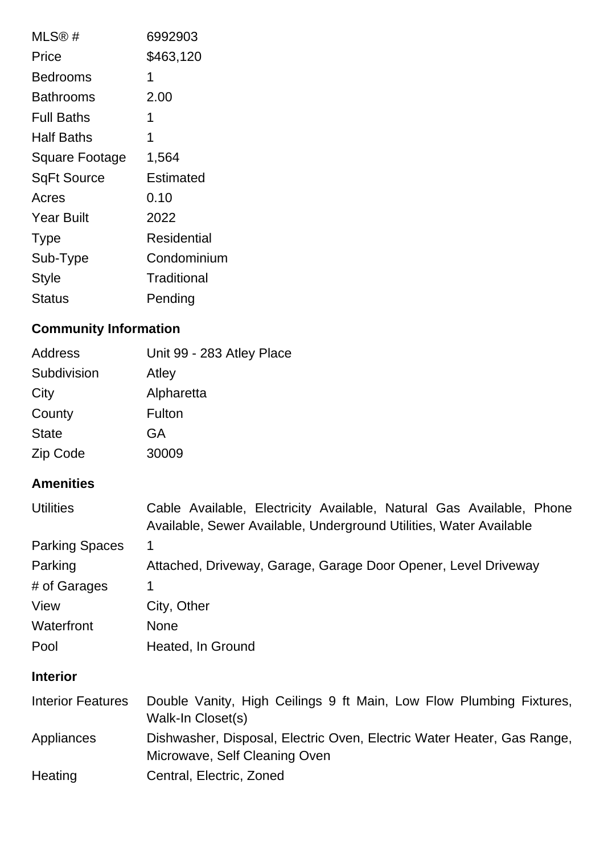| MLS®#                 | 6992903     |
|-----------------------|-------------|
| Price                 | \$463,120   |
| Bedrooms              | 1           |
| Bathrooms             | 2.00        |
| <b>Full Baths</b>     | 1           |
| Half Baths            | 1           |
| <b>Square Footage</b> | 1,564       |
| SqFt Source           | Estimated   |
| Acres                 | 0.10        |
| <b>Year Built</b>     | 2022        |
| <b>Type</b>           | Residential |
| Sub-Type              | Condominium |
| <b>Style</b>          | Traditional |
| Status                | Pending     |

## **Community Information**

| Address      | Unit 99 - 283 Atley Place |
|--------------|---------------------------|
| Subdivision  | Atley                     |
| City         | Alpharetta                |
| County       | Fulton                    |
| <b>State</b> | GA                        |
| Zip Code     | 30009                     |

## **Amenities**

| <b>Utilities</b>         | Cable Available, Electricity Available, Natural Gas Available, Phone<br>Available, Sewer Available, Underground Utilities, Water Available |
|--------------------------|--------------------------------------------------------------------------------------------------------------------------------------------|
| <b>Parking Spaces</b>    | 1                                                                                                                                          |
| Parking                  | Attached, Driveway, Garage, Garage Door Opener, Level Driveway                                                                             |
| # of Garages             | 1                                                                                                                                          |
| View                     | City, Other                                                                                                                                |
| Waterfront               | <b>None</b>                                                                                                                                |
| Pool                     | Heated, In Ground                                                                                                                          |
| <b>Interior</b>          |                                                                                                                                            |
| <b>Interior Features</b> | Double Vanity, High Ceilings 9 ft Main, Low Flow Plumbing Fixtures,<br>Walk-In Closet(s)                                                   |
| Appliances               | Dishwasher, Disposal, Electric Oven, Electric Water Heater, Gas Range,<br>Microwave, Self Cleaning Oven                                    |
| Heating                  | Central, Electric, Zoned                                                                                                                   |